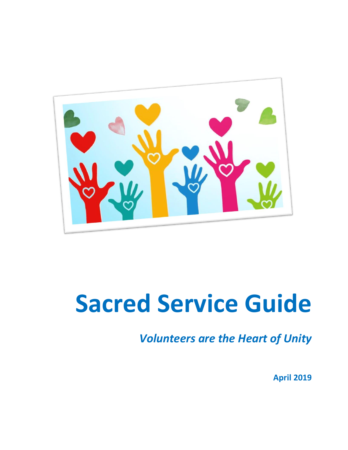

# **Sacred Service Guide**

*Volunteers are the Heart of Unity*

**April 2019**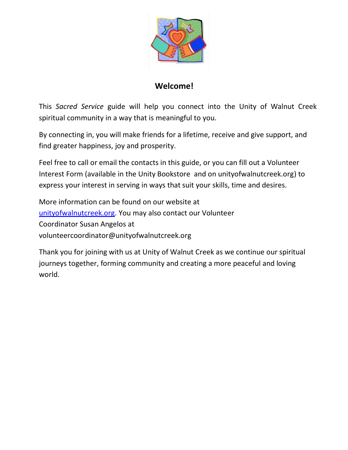

# **Welcome!**

This *Sacred Service* guide will help you connect into the Unity of Walnut Creek spiritual community in a way that is meaningful to you.

By connecting in, you will make friends for a lifetime, receive and give support, and find greater happiness, joy and prosperity.

Feel free to call or email the contacts in this guide, or you can fill out a Volunteer Interest Form (available in the Unity Bookstore and on unityofwalnutcreek.org) to express your interest in serving in ways that suit your skills, time and desires.

More information can be found on our website at unityofwalnutcreek.org. You may also contact our Volunteer Coordinator Susan Angelos at volunteercoordinator@unityofwalnutcreek.org

Thank you for joining with us at Unity of Walnut Creek as we continue our spiritual journeys together, forming community and creating a more peaceful and loving world.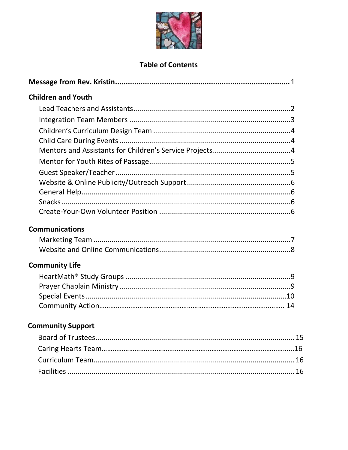

#### **Table of Contents**

| <b>Children and Youth</b> |
|---------------------------|
|                           |
|                           |
|                           |
|                           |
|                           |
|                           |
|                           |
|                           |
|                           |
|                           |
|                           |
| <b>Communications</b>     |
|                           |
|                           |
| <b>Community Life</b>     |
|                           |
|                           |
|                           |
|                           |
| <b>Community Support</b>  |
|                           |
|                           |
|                           |
|                           |
|                           |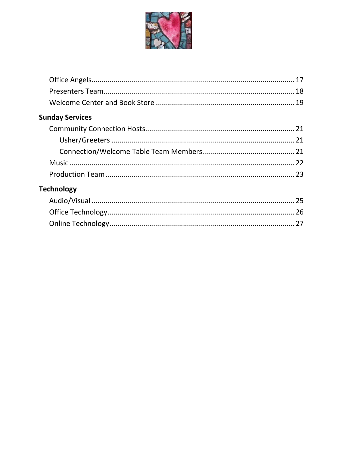

| <b>Sunday Services</b> |  |
|------------------------|--|
|                        |  |
|                        |  |
|                        |  |
|                        |  |
|                        |  |
| Technology             |  |
|                        |  |
|                        |  |
|                        |  |
|                        |  |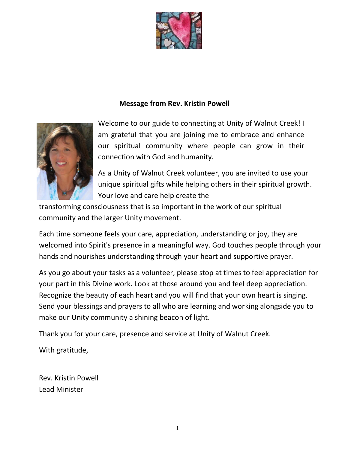

#### **Message from Rev. Kristin Powell**

<span id="page-4-0"></span>

Welcome to our guide to connecting at Unity of Walnut Creek! I am grateful that you are joining me to embrace and enhance our spiritual community where people can grow in their connection with God and humanity.

As a Unity of Walnut Creek volunteer, you are invited to use your unique spiritual gifts while helping others in their spiritual growth. Your love and care help create the

transforming consciousness that is so important in the work of our spiritual community and the larger Unity movement.

Each time someone feels your care, appreciation, understanding or joy, they are welcomed into Spirit's presence in a meaningful way. God touches people through your hands and nourishes understanding through your heart and supportive prayer.

As you go about your tasks as a volunteer, please stop at times to feel appreciation for your part in this Divine work. Look at those around you and feel deep appreciation. Recognize the beauty of each heart and you will find that your own heart is singing. Send your blessings and prayers to all who are learning and working alongside you to make our Unity community a shining beacon of light.

Thank you for your care, presence and service at Unity of Walnut Creek.

With gratitude,

Rev. Kristin Powell Lead Minister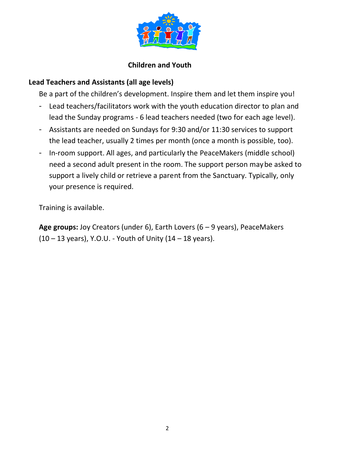

#### **Children and Youth**

## <span id="page-5-0"></span>**Lead Teachers and Assistants (all age levels)**

Be a part of the children's development. Inspire them and let them inspire you!

- Lead teachers/facilitators work with the youth education director to plan and lead the Sunday programs - 6 lead teachers needed (two for each age level).
- Assistants are needed on Sundays for 9:30 and/or 11:30 services to support the lead teacher, usually 2 times per month (once a month is possible, too).
- In-room support. All ages, and particularly the PeaceMakers (middle school) need a second adult present in the room. The support person maybe asked to support a lively child or retrieve a parent from the Sanctuary. Typically, only your presence is required.

Training is available.

**Age groups:** Joy Creators (under 6), Earth Lovers (6 – 9 years), PeaceMakers (10 – 13 years), Y.O.U. - Youth of Unity (14 – 18 years).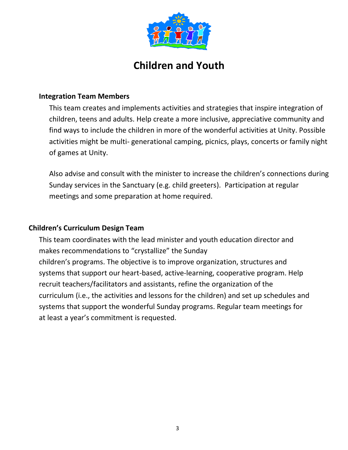

# **Children and Youth**

#### <span id="page-6-0"></span>**Integration Team Members**

This team creates and implements activities and strategies that inspire integration of children, teens and adults. Help create a more inclusive, appreciative community and find ways to include the children in more of the wonderful activities at Unity. Possible activities might be multi- generational camping, picnics, plays, concerts or family night of games at Unity.

Also advise and consult with the minister to increase the children's connections during Sunday services in the Sanctuary (e.g. child greeters). Participation at regular meetings and some preparation at home required.

#### **Children's Curriculum Design Team**

This team coordinates with the lead minister and youth education director and makes recommendations to "crystallize" the Sunday children's programs. The objective is to improve organization, structures and systems that support our heart-based, active-learning, cooperative program. Help recruit teachers/facilitators and assistants, refine the organization of the curriculum (i.e., the activities and lessons for the children) and set up schedules and systems that support the wonderful Sunday programs. Regular team meetings for at least a year's commitment is requested.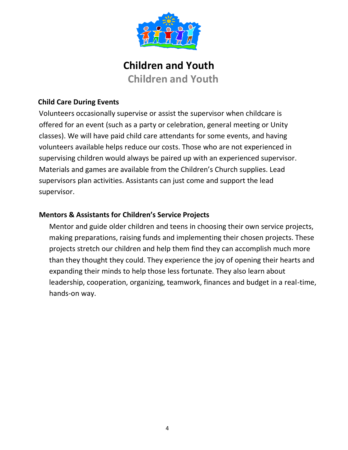

# **Children and Youth Children and Youth**

#### <span id="page-7-0"></span>**Child Care During Events**

Volunteers occasionally supervise or assist the supervisor when childcare is offered for an event (such as a party or celebration, general meeting or Unity classes). We will have paid child care attendants for some events, and having volunteers available helps reduce our costs. Those who are not experienced in supervising children would always be paired up with an experienced supervisor. Materials and games are available from the Children's Church supplies. Lead supervisors plan activities. Assistants can just come and support the lead supervisor.

#### **Mentors & Assistants for Children's Service Projects**

<span id="page-7-1"></span>Mentor and guide older children and teens in choosing their own service projects, making preparations, raising funds and implementing their chosen projects. These projects stretch our children and help them find they can accomplish much more than they thought they could. They experience the joy of opening their hearts and expanding their minds to help those less fortunate. They also learn about leadership, cooperation, organizing, teamwork, finances and budget in a real-time, hands-on way.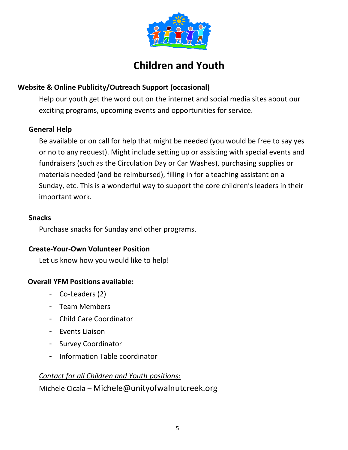

# **Children and Youth**

## **Website & Online Publicity/Outreach Support (occasional)**

Help our youth get the word out on the internet and social media sites about our exciting programs, upcoming events and opportunities for service.

#### <span id="page-8-0"></span>**General Help**

Be available or on call for help that might be needed (you would be free to say yes or no to any request). Might include setting up or assisting with special events and fundraisers (such as the Circulation Day or Car Washes), purchasing supplies or materials needed (and be reimbursed), filling in for a teaching assistant on a Sunday, etc. This is a wonderful way to support the core children's leaders in their important work.

#### <span id="page-8-1"></span>**Snacks**

Purchase snacks for Sunday and other programs.

#### <span id="page-8-2"></span>**Create-Your-Own Volunteer Position**

Let us know how you would like to help!

## **Overall YFM Positions available:**

- Co-Leaders (2)
- Team Members
- Child Care Coordinator
- Events Liaison
- Survey Coordinator
- Information Table coordinator

## *Contact for all Children and Youth positions:*

Michele Cicala – Michele@unityofwalnutcreek.org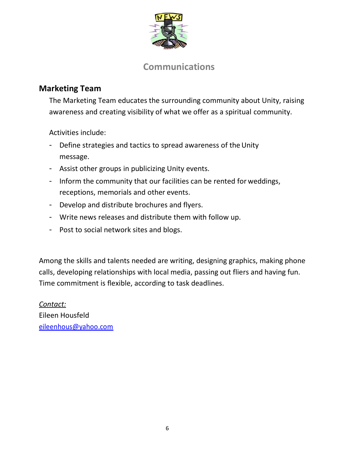

# **Communications**

# <span id="page-9-1"></span><span id="page-9-0"></span>**Marketing Team**

The Marketing Team educates the surrounding community about Unity, raising awareness and creating visibility of what we offer as a spiritual community.

Activities include:

- Define strategies and tactics to spread awareness of the Unity message.
- Assist other groups in publicizing Unity events.
- Inform the community that our facilities can be rented for weddings, receptions, memorials and other events.
- Develop and distribute brochures and flyers.
- Write news releases and distribute them with follow up.
- Post to social network sites and blogs.

Among the skills and talents needed are writing, designing graphics, making phone calls, developing relationships with local media, passing out fliers and having fun. Time commitment is flexible, according to task deadlines.

*Contact:* Eileen Housfeld [eileenhous@yahoo.com](mailto:eileenhous@yahoo.com)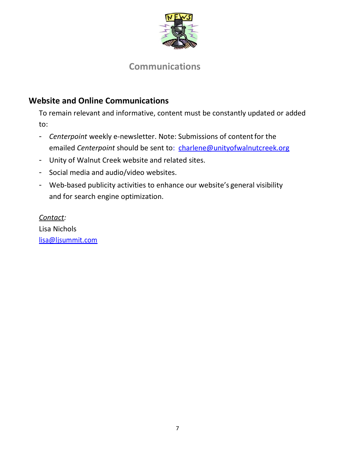

# **Communications**

# <span id="page-10-0"></span>**Website and Online Communications**

To remain relevant and informative, content must be constantly updated or added to:

- *Centerpoint* weekly e-newsletter. Note: Submissions of contentfor the emailed *Centerpoint* should be sent to: charlene@unityofwalnutcreek.org
- Unity of Walnut Creek website and related sites.
- Social media and audio/video websites.
- Web-based publicity activities to enhance our website's general visibility and for search engine optimization.

*Contact:* Lisa Nichols [lisa@ljsummit.com](mailto:Vicky.Berry@unitycenter.net)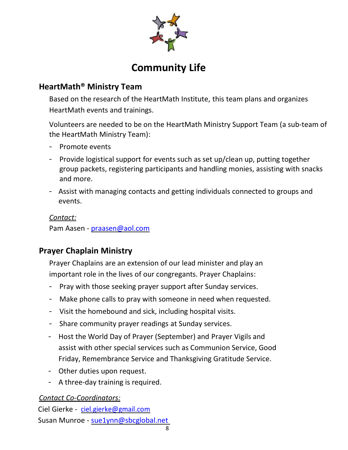

# <span id="page-11-0"></span>**HeartMath® Ministry Team**

Based on the research of the HeartMath Institute, this team plans and organizes HeartMath events and trainings.

Volunteers are needed to be on the HeartMath Ministry Support Team (a sub-team of the HeartMath Ministry Team):

- Promote events
- Provide logistical support for events such as set up/clean up, putting together group packets, registering participants and handling monies, assisting with snacks and more.
- Assist with managing contacts and getting individuals connected to groups and events.

#### *Contact:*

Pam Aasen - [praasen@aol.com](mailto:praasen@aol.com)

# <span id="page-11-1"></span>**Prayer Chaplain Ministry**

Prayer Chaplains are an extension of our lead minister and play an important role in the lives of our congregants. Prayer Chaplains:

- Pray with those seeking prayer support after Sunday services.
- Make phone calls to pray with someone in need when requested.
- Visit the homebound and sick, including hospital visits.
- Share community prayer readings at Sunday services.
- Host the World Day of Prayer (September) and Prayer Vigils and assist with other special services such as Communion Service, Good Friday, Remembrance Service and Thanksgiving Gratitude Service.
- Other duties upon request.
- A three-day training is required.

#### *Contact Co-Coordinators:*

Ciel Gierke - [ciel.gierke@gmail.com](mailto:ciel.gierke@gmail.com)  Susan Munroe - [sue1ynn@sbcglobal.net](mailto:sue1ynn@sbcglobal.net)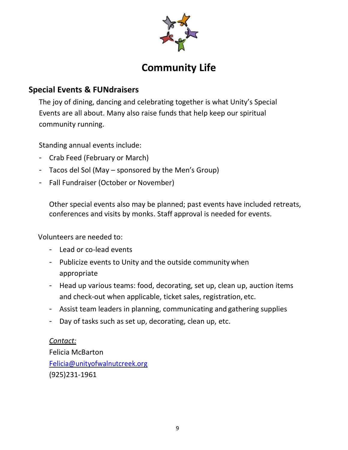

## <span id="page-12-0"></span>**Special Events & FUNdraisers**

The joy of dining, dancing and celebrating together is what Unity's Special Events are all about. Many also raise funds that help keep our spiritual community running.

Standing annual events include:

- Crab Feed (February or March)
- Tacos del Sol (May sponsored by the Men's Group)
- Fall Fundraiser (October or November)

Other special events also may be planned; past events have included retreats, conferences and visits by monks. Staff approval is needed for events.

Volunteers are needed to:

- Lead or co-lead events
- Publicize events to Unity and the outside community when appropriate
- Head up various teams: food, decorating, set up, clean up, auction items and check-out when applicable, ticket sales, registration, etc.
- Assist team leaders in planning, communicating and gathering supplies
- Day of tasks such as set up, decorating, clean up, etc.

## *Contact:*

Felicia McBarton Felicia@unityofwalnutcreek.org (925)231-1961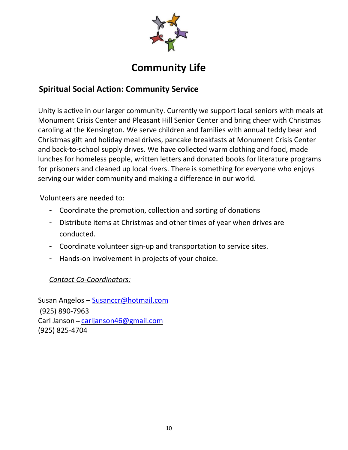

# **Spiritual Social Action: Community Service**

Unity is active in our larger community. Currently we support local seniors with meals at Monument Crisis Center and Pleasant Hill Senior Center and bring cheer with Christmas caroling at the Kensington. We serve children and families with annual teddy bear and Christmas gift and holiday meal drives, pancake breakfasts at Monument Crisis Center and back-to-school supply drives. We have collected warm clothing and food, made lunches for homeless people, written letters and donated books for literature programs for prisoners and cleaned up local rivers. There is something for everyone who enjoys serving our wider community and making a difference in our world.

Volunteers are needed to:

- Coordinate the promotion, collection and sorting of donations
- Distribute items at Christmas and other times of year when drives are conducted.
- Coordinate volunteer sign-up and transportation to service sites.
- Hands-on involvement in projects of your choice.

#### *Contact Co-Coordinators:*

Susan Angelos – [Susanccr@hotmail.com](mailto:Susanccr@hotmail.com) (925) 890-7963 Carl Janson -- [carljanson46@gmail.com](mailto:carljanson46@gmail.com)  (925) 825-4704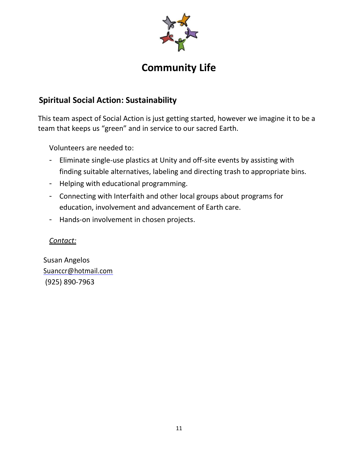

# **Spiritual Social Action: Sustainability**

This team aspect of Social Action is just getting started, however we imagine it to be a team that keeps us "green" and in service to our sacred Earth.

Volunteers are needed to:

- Eliminate single-use plastics at Unity and off-site events by assisting with finding suitable alternatives, labeling and directing trash to appropriate bins.
- Helping with educational programming.
- Connecting with Interfaith and other local groups about programs for education, involvement and advancement of Earth care.
- Hands-on involvement in chosen projects.

#### *Contact:*

Susan Angelos Suanccr@hotmail.com (925) 890-7963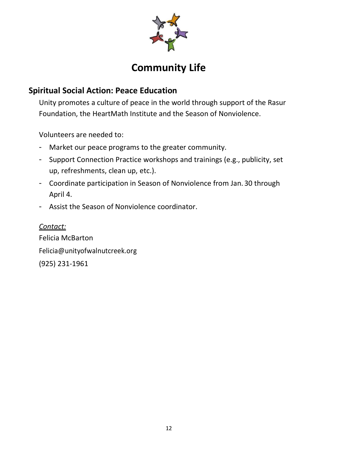

# **Spiritual Social Action: Peace Education**

Unity promotes a culture of peace in the world through support of the Rasur Foundation, the HeartMath Institute and the Season of Nonviolence.

Volunteers are needed to:

- Market our peace programs to the greater community.
- Support Connection Practice workshops and trainings (e.g., publicity, set up, refreshments, clean up, etc.).
- Coordinate participation in Season of Nonviolence from Jan. 30 through April 4.
- Assist the Season of Nonviolence coordinator.

*Contact:* Felicia McBarton Felicia@unityofwalnutcreek.org (925) 231-1961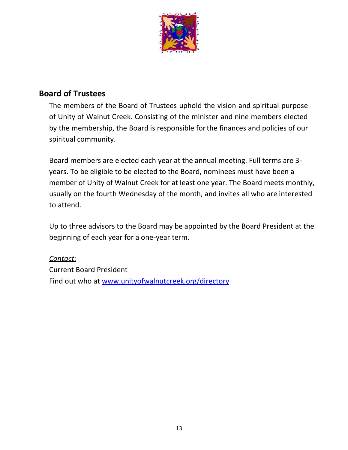

## <span id="page-16-0"></span>**Board of Trustees**

The members of the Board of Trustees uphold the vision and spiritual purpose of Unity of Walnut Creek. Consisting of the minister and nine members elected by the membership, the Board is responsible forthe finances and policies of our spiritual community.

Board members are elected each year at the annual meeting. Full terms are 3 years. To be eligible to be elected to the Board, nominees must have been a member of Unity of Walnut Creek for at least one year. The Board meets monthly, usually on the fourth Wednesday of the month, and invites all who are interested to attend.

Up to three advisors to the Board may be appointed by the Board President at the beginning of each year for a one-year term.

#### *Contact:*

Current Board President Find out who at [www.unityofwalnutcreek.org/directory](http://www.unityofwalnutcreek.com/directory)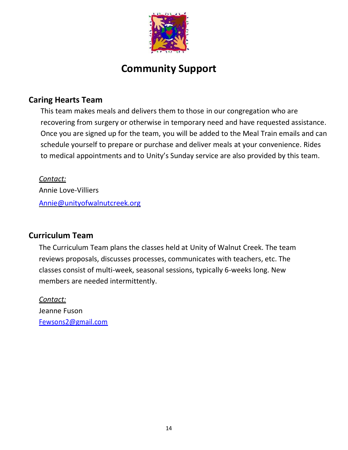

#### <span id="page-17-0"></span>**Caring Hearts Team**

This team makes meals and delivers them to those in our congregation who are recovering from surgery or otherwise in temporary need and have requested assistance. Once you are signed up for the team, you will be added to the Meal Train emails and can schedule yourself to prepare or purchase and deliver meals at your convenience. Rides to medical appointments and to Unity's Sunday service are also provided by this team.

*Contact:* Annie Love-Villiers [Annie@unityofwalnutcreek.org](mailto:Annie@unityofwalnutcreek.org)

## **Curriculum Team**

The Curriculum Team plans the classes held at Unity of Walnut Creek. The team reviews proposals, discusses processes, communicates with teachers, etc. The classes consist of multi-week, seasonal sessions, typically 6-weeks long. New members are needed intermittently.

*Contact:* Jeanne Fuson [Fewsons2@gmail.com](mailto:Fewsons2@gmail.com)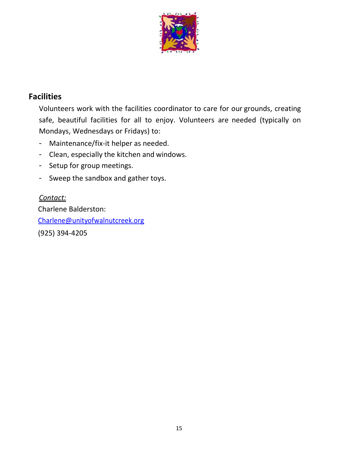

## <span id="page-18-0"></span>**Facilities**

Volunteers work with the facilities coordinator to care for our grounds, creating safe, beautiful facilities for all to enjoy. Volunteers are needed (typically on Mondays, Wednesdays or Fridays) to:

- Maintenance/fix-it helper as needed.
- Clean, especially the kitchen and windows.
- Setup for group meetings.
- Sweep the sandbox and gather toys.

## *Contact:*

Charlene Balderston: Charlene@unityofwalnutcreek.org (925) 394-4205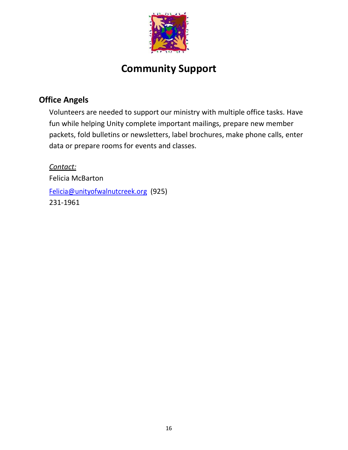

## <span id="page-19-0"></span>**Office Angels**

Volunteers are needed to support our ministry with multiple office tasks. Have fun while helping Unity complete important mailings, prepare new member packets, fold bulletins or newsletters, label brochures, make phone calls, enter data or prepare rooms for events and classes.

*Contact:* Felicia McBarton [Felicia@unityofwalnutcreek.org](mailto:Felicia@unityofwalnutcreek.org) (925) 231-1961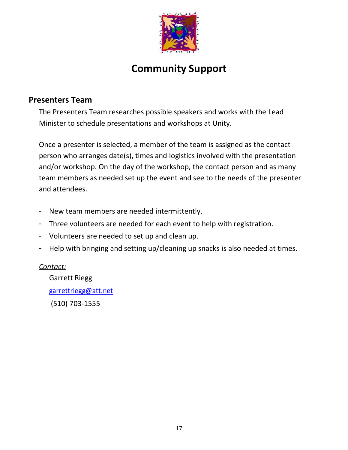

#### <span id="page-20-0"></span>**Presenters Team**

The Presenters Team researches possible speakers and works with the Lead Minister to schedule presentations and workshops at Unity.

Once a presenter is selected, a member of the team is assigned as the contact person who arranges date(s), times and logistics involved with the presentation and/or workshop. On the day of the workshop, the contact person and as many team members as needed set up the event and see to the needs of the presenter and attendees.

- New team members are needed intermittently.
- Three volunteers are needed for each event to help with registration.
- Volunteers are needed to set up and clean up.
- Help with bringing and setting up/cleaning up snacks is also needed at times.

#### *Contact:*

Garrett Riegg [garrettriegg@att.net](mailto:garrettriegg@att.net) (510) 703-1555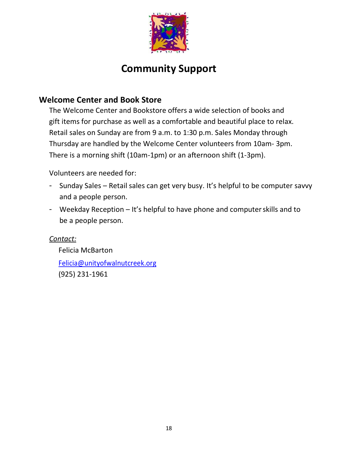

## <span id="page-21-0"></span>**Welcome Center and Book Store**

The Welcome Center and Bookstore offers a wide selection of books and gift items for purchase as well as a comfortable and beautiful place to relax. Retail sales on Sunday are from 9 a.m. to 1:30 p.m. Sales Monday through Thursday are handled by the Welcome Center volunteers from 10am- 3pm. There is a morning shift (10am-1pm) or an afternoon shift (1-3pm).

Volunteers are needed for:

- Sunday Sales Retail sales can get very busy. It's helpful to be computer savvy and a people person.
- Weekday Reception It's helpful to have phone and computerskills and to be a people person.

*Contact:*

Felicia McBarton [Felicia@unityofwalnutcreek.org](mailto:Felicia@unityofwalnutcreek.org)  (925) 231-1961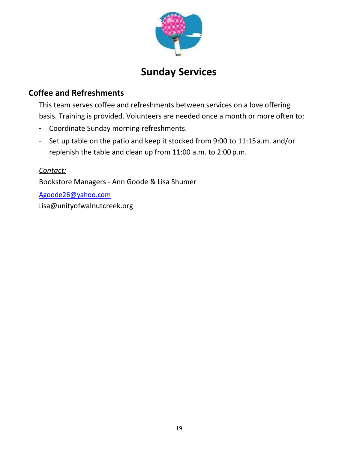

# <span id="page-22-0"></span>**Coffee and Refreshments**

This team serves coffee and refreshments between services on a love offering basis. Training is provided. Volunteers are needed once a month or more often to:

- Coordinate Sunday morning refreshments.
- Set up table on the patio and keep it stocked from 9:00 to 11:15a.m. and/or replenish the table and clean up from 11:00 a.m. to 2:00 p.m.

*Contact:* Bookstore Managers - Ann Goode & Lisa Shume[r](mailto:Agoode26@yahoo.com) [Agoode26@yahoo.com](mailto:Agoode26@yahoo.com)

Lisa@unityofwalnutcreek.org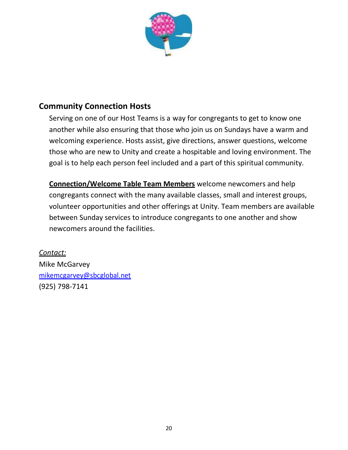

# <span id="page-23-0"></span>**Community Connection Hosts**

Serving on one of our Host Teams is a way for congregants to get to know one another while also ensuring that those who join us on Sundays have a warm and welcoming experience. Hosts assist, give directions, answer questions, welcome those who are new to Unity and create a hospitable and loving environment. The goal is to help each person feel included and a part of this spiritual community.

**Connection/Welcome Table Team Members** welcome newcomers and help congregants connect with the many available classes, small and interest groups, volunteer opportunities and other offerings at Unity. Team members are available between Sunday services to introduce congregants to one another and show newcomers around the facilities.

*Contact:* Mike McGarvey [mikemcgarvey@sbcglobal.net](mailto:mikemcgarvey@sbcglobal.net) (925) 798-7141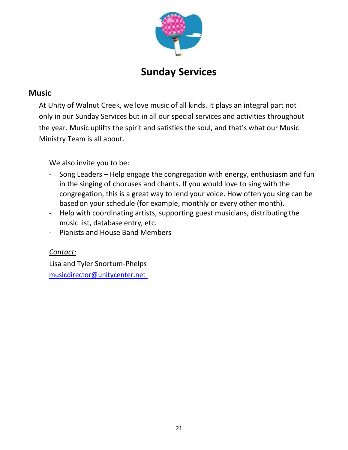

## <span id="page-24-0"></span>**Music**

At Unity of Walnut Creek, we love music of all kinds. It plays an integral part not only in our Sunday Services but in all our special services and activities throughout the year. Music uplifts the spirit and satisfies the soul, and that's what our Music Ministry Team is all about.

We also invite you to be:

- Song Leaders Help engage the congregation with energy, enthusiasm and fun in the singing of choruses and chants. If you would love to sing with the congregation, this is a great way to lend your voice. How often you sing can be basedon your schedule (for example, monthly or every other month).
- Help with coordinating artists, supporting guest musicians, distributingthe music list, database entry, etc.
- Pianists and House Band Members

## *Contact:*

Lisa and Tyler Snortum-Phelps musicdirector@unitycenter.net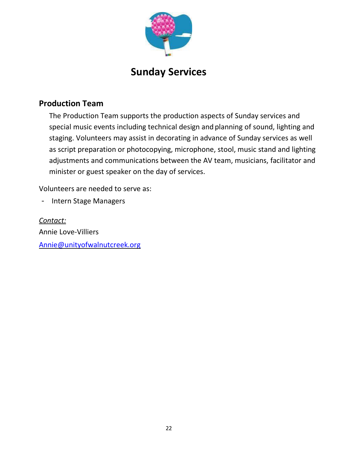

# <span id="page-25-0"></span>**Production Team**

The Production Team supports the production aspects of Sunday services and special music events including technical design and planning of sound, lighting and staging. Volunteers may assist in decorating in advance of Sunday services as well as script preparation or photocopying, microphone, stool, music stand and lighting adjustments and communications between the AV team, musicians, facilitator and minister or guest speaker on the day of services.

Volunteers are needed to serve as:

- Intern Stage Managers

*Contact:* Annie Love-Villiers [Annie@unityofwalnutcreek.org](mailto:Annie@unityofwalnutcreek.org)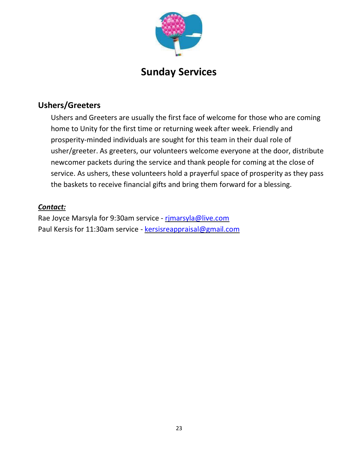

# **Ushers/Greeters**

Ushers and Greeters are usually the first face of welcome for those who are coming home to Unity for the first time or returning week after week. Friendly and prosperity-minded individuals are sought for this team in their dual role of usher/greeter. As greeters, our volunteers welcome everyone at the door, distribute newcomer packets during the service and thank people for coming at the close of service. As ushers, these volunteers hold a prayerful space of prosperity as they pass the baskets to receive financial gifts and bring them forward for a blessing.

#### *Contact:*

Rae Joyce Marsyla for 9:30am service - rimarsyla@live.com Paul Kersis for 11:30am service - [kersisreappraisal@gmail.com](mailto:kersisreappraisal@gmail.com)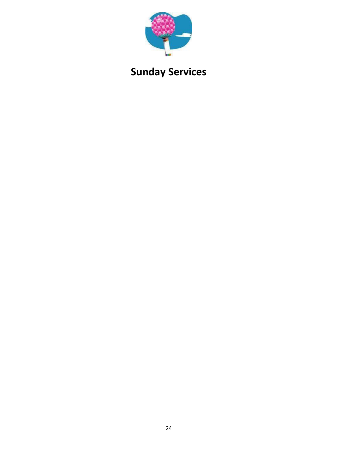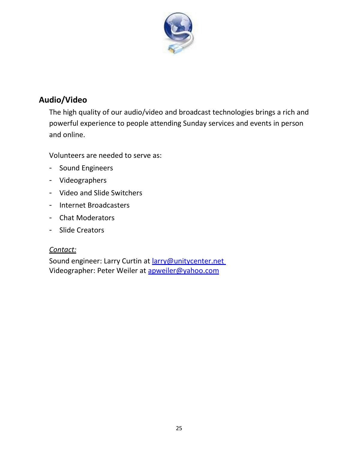

# <span id="page-28-0"></span>**Audio/Video**

The high quality of our audio/video and broadcast technologies brings a rich and powerful experience to people attending Sunday services and events in person and online.

Volunteers are needed to serve as:

- Sound Engineers
- Videographers
- Video and Slide Switchers
- Internet Broadcasters
- Chat Moderators
- Slide Creators

#### *Contact:*

Sound engineer: Larry Curtin at larry@unitycenter.net Videographer: Peter Weiler at [apweiler@yahoo.com](mailto:apweiler@yahoo.com)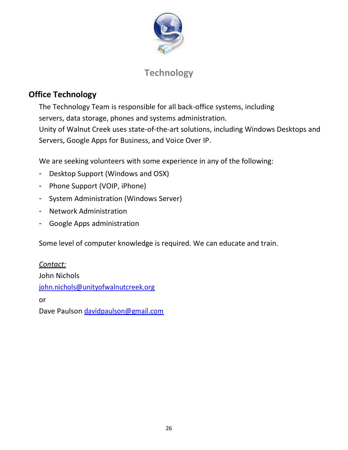

# **Technology**

# <span id="page-29-0"></span>**Office Technology**

The Technology Team is responsible for all back-office systems, including servers, data storage, phones and systems administration. Unity of Walnut Creek uses state-of-the-art solutions, including Windows Desktops and Servers, Google Apps for Business, and Voice Over IP.

We are seeking volunteers with some experience in any of the following:

- Desktop Support (Windows and OSX)
- Phone Support (VOIP, iPhone)
- System Administration (Windows Server)
- Network Administration
- Google Apps administration

Some level of computer knowledge is required. We can educate and train.

#### *Contact:*

John Nichols [john.nichols@unityofwalnutcreek.org](mailto:john.nichols@unityofwalnutcreek.comjjohn.nichols@unityofwalnutcreek.org)

or

Dave Paulson davidpaulson@gmail.com